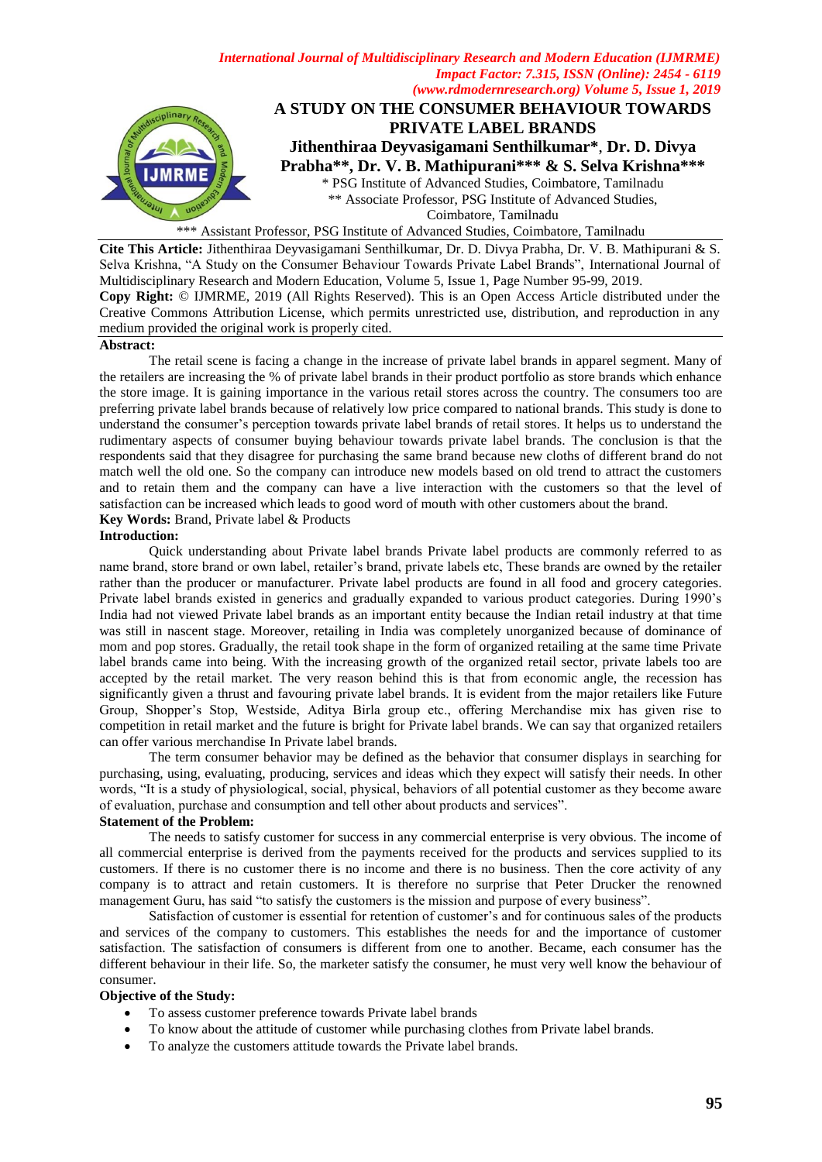

\*\*\* Assistant Professor, PSG Institute of Advanced Studies, Coimbatore, Tamilnadu

**Cite This Article:** Jithenthiraa Deyvasigamani Senthilkumar, Dr. D. Divya Prabha, Dr. V. B. Mathipurani & S. Selva Krishna, "A Study on the Consumer Behaviour Towards Private Label Brands", International Journal of Multidisciplinary Research and Modern Education, Volume 5, Issue 1, Page Number 95-99, 2019. **Copy Right:** © IJMRME, 2019 (All Rights Reserved). This is an Open Access Article distributed under the Creative Commons Attribution License, which permits unrestricted use, distribution, and reproduction in any medium provided the original work is properly cited.

#### **Abstract:**

The retail scene is facing a change in the increase of private label brands in apparel segment. Many of the retailers are increasing the % of private label brands in their product portfolio as store brands which enhance the store image. It is gaining importance in the various retail stores across the country. The consumers too are preferring private label brands because of relatively low price compared to national brands. This study is done to understand the consumer"s perception towards private label brands of retail stores. It helps us to understand the rudimentary aspects of consumer buying behaviour towards private label brands. The conclusion is that the respondents said that they disagree for purchasing the same brand because new cloths of different brand do not match well the old one. So the company can introduce new models based on old trend to attract the customers and to retain them and the company can have a live interaction with the customers so that the level of satisfaction can be increased which leads to good word of mouth with other customers about the brand.

**Key Words:** Brand, Private label & Products

# **Introduction:**

Quick understanding about Private label brands Private label products are commonly referred to as name brand, store brand or own label, retailer"s brand, private labels etc, These brands are owned by the retailer rather than the producer or manufacturer. Private label products are found in all food and grocery categories. Private label brands existed in generics and gradually expanded to various product categories. During 1990"s India had not viewed Private label brands as an important entity because the Indian retail industry at that time was still in nascent stage. Moreover, retailing in India was completely unorganized because of dominance of mom and pop stores. Gradually, the retail took shape in the form of organized retailing at the same time Private label brands came into being. With the increasing growth of the organized retail sector, private labels too are accepted by the retail market. The very reason behind this is that from economic angle, the recession has significantly given a thrust and favouring private label brands. It is evident from the major retailers like Future Group, Shopper"s Stop, Westside, Aditya Birla group etc., offering Merchandise mix has given rise to competition in retail market and the future is bright for Private label brands. We can say that organized retailers can offer various merchandise In Private label brands.

The term consumer behavior may be defined as the behavior that consumer displays in searching for purchasing, using, evaluating, producing, services and ideas which they expect will satisfy their needs. In other words, "It is a study of physiological, social, physical, behaviors of all potential customer as they become aware of evaluation, purchase and consumption and tell other about products and services".

## **Statement of the Problem:**

The needs to satisfy customer for success in any commercial enterprise is very obvious. The income of all commercial enterprise is derived from the payments received for the products and services supplied to its customers. If there is no customer there is no income and there is no business. Then the core activity of any company is to attract and retain customers. It is therefore no surprise that Peter Drucker the renowned management Guru, has said "to satisfy the customers is the mission and purpose of every business".

Satisfaction of customer is essential for retention of customer's and for continuous sales of the products and services of the company to customers. This establishes the needs for and the importance of customer satisfaction. The satisfaction of consumers is different from one to another. Became, each consumer has the different behaviour in their life. So, the marketer satisfy the consumer, he must very well know the behaviour of consumer.

### **Objective of the Study:**

- To assess customer preference towards Private label brands
- To know about the attitude of customer while purchasing clothes from Private label brands.
- To analyze the customers attitude towards the Private label brands.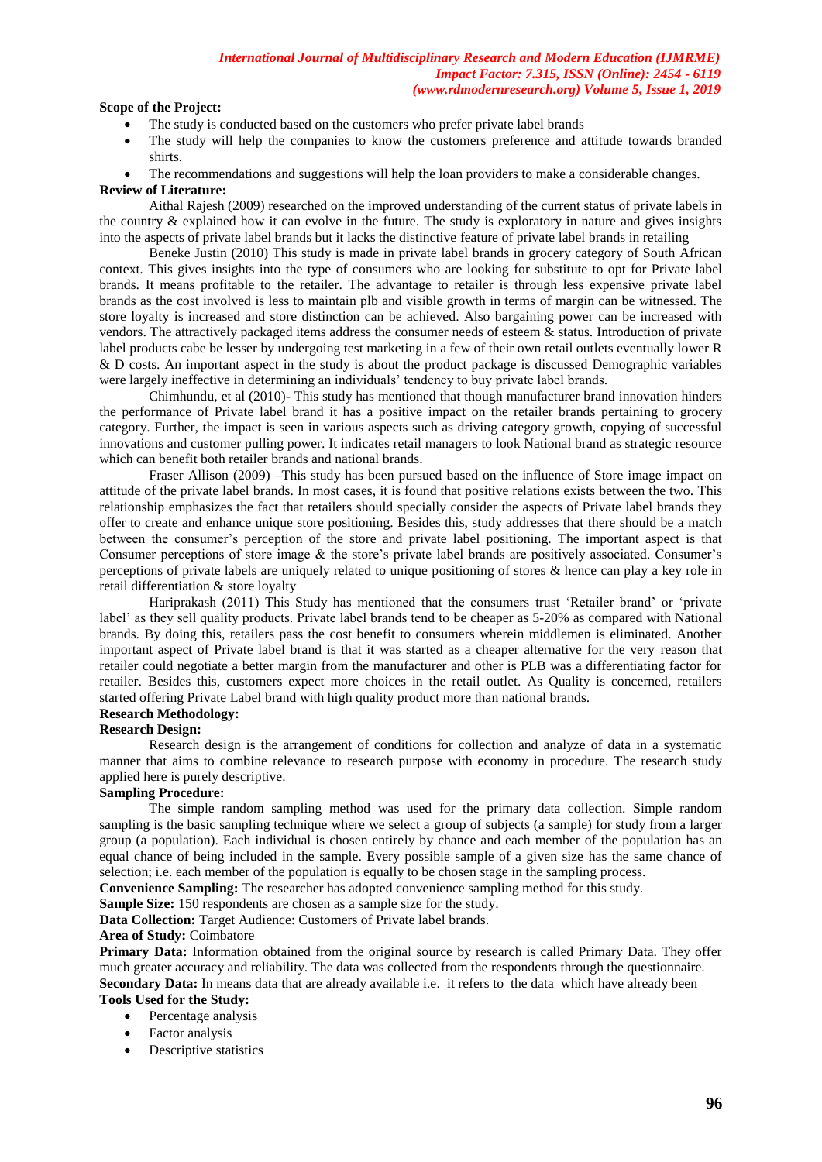### **Scope of the Project:**

- The study is conducted based on the customers who prefer private label brands
- The study will help the companies to know the customers preference and attitude towards branded shirts.
- The recommendations and suggestions will help the loan providers to make a considerable changes.

#### **Review of Literature:**

Aithal Rajesh (2009) researched on the improved understanding of the current status of private labels in the country & explained how it can evolve in the future. The study is exploratory in nature and gives insights into the aspects of private label brands but it lacks the distinctive feature of private label brands in retailing

Beneke Justin (2010) This study is made in private label brands in grocery category of South African context. This gives insights into the type of consumers who are looking for substitute to opt for Private label brands. It means profitable to the retailer. The advantage to retailer is through less expensive private label brands as the cost involved is less to maintain plb and visible growth in terms of margin can be witnessed. The store loyalty is increased and store distinction can be achieved. Also bargaining power can be increased with vendors. The attractively packaged items address the consumer needs of esteem & status. Introduction of private label products cabe be lesser by undergoing test marketing in a few of their own retail outlets eventually lower R & D costs. An important aspect in the study is about the product package is discussed Demographic variables were largely ineffective in determining an individuals" tendency to buy private label brands.

Chimhundu, et al (2010)- This study has mentioned that though manufacturer brand innovation hinders the performance of Private label brand it has a positive impact on the retailer brands pertaining to grocery category. Further, the impact is seen in various aspects such as driving category growth, copying of successful innovations and customer pulling power. It indicates retail managers to look National brand as strategic resource which can benefit both retailer brands and national brands.

Fraser Allison (2009) –This study has been pursued based on the influence of Store image impact on attitude of the private label brands. In most cases, it is found that positive relations exists between the two. This relationship emphasizes the fact that retailers should specially consider the aspects of Private label brands they offer to create and enhance unique store positioning. Besides this, study addresses that there should be a match between the consumer"s perception of the store and private label positioning. The important aspect is that Consumer perceptions of store image & the store"s private label brands are positively associated. Consumer"s perceptions of private labels are uniquely related to unique positioning of stores & hence can play a key role in retail differentiation & store loyalty

Hariprakash (2011) This Study has mentioned that the consumers trust "Retailer brand" or "private label' as they sell quality products. Private label brands tend to be cheaper as 5-20% as compared with National brands. By doing this, retailers pass the cost benefit to consumers wherein middlemen is eliminated. Another important aspect of Private label brand is that it was started as a cheaper alternative for the very reason that retailer could negotiate a better margin from the manufacturer and other is PLB was a differentiating factor for retailer. Besides this, customers expect more choices in the retail outlet. As Quality is concerned, retailers started offering Private Label brand with high quality product more than national brands.

## **Research Methodology:**

### **Research Design:**

Research design is the arrangement of conditions for collection and analyze of data in a systematic manner that aims to combine relevance to research purpose with economy in procedure. The research study applied here is purely descriptive.

### **Sampling Procedure:**

The simple random sampling method was used for the primary data collection. Simple random sampling is the basic sampling technique where we select a group of subjects (a sample) for study from a larger group (a population). Each individual is chosen entirely by chance and each member of the population has an equal chance of being included in the sample. Every possible sample of a given size has the same chance of selection; i.e. each member of the population is equally to be chosen stage in the sampling process.

**Convenience Sampling:** The researcher has adopted convenience sampling method for this study.

**Sample Size:** 150 respondents are chosen as a sample size for the study.

Data Collection: Target Audience: Customers of Private label brands.

### **Area of Study:** Coimbatore

Primary Data: Information obtained from the original source by research is called Primary Data. They offer much greater accuracy and reliability. The data was collected from the respondents through the questionnaire. **Secondary Data:** In means data that are already available i.e. it refers to the data which have already been **Tools Used for the Study:** 

- Percentage analysis
	- Factor analysis
	- Descriptive statistics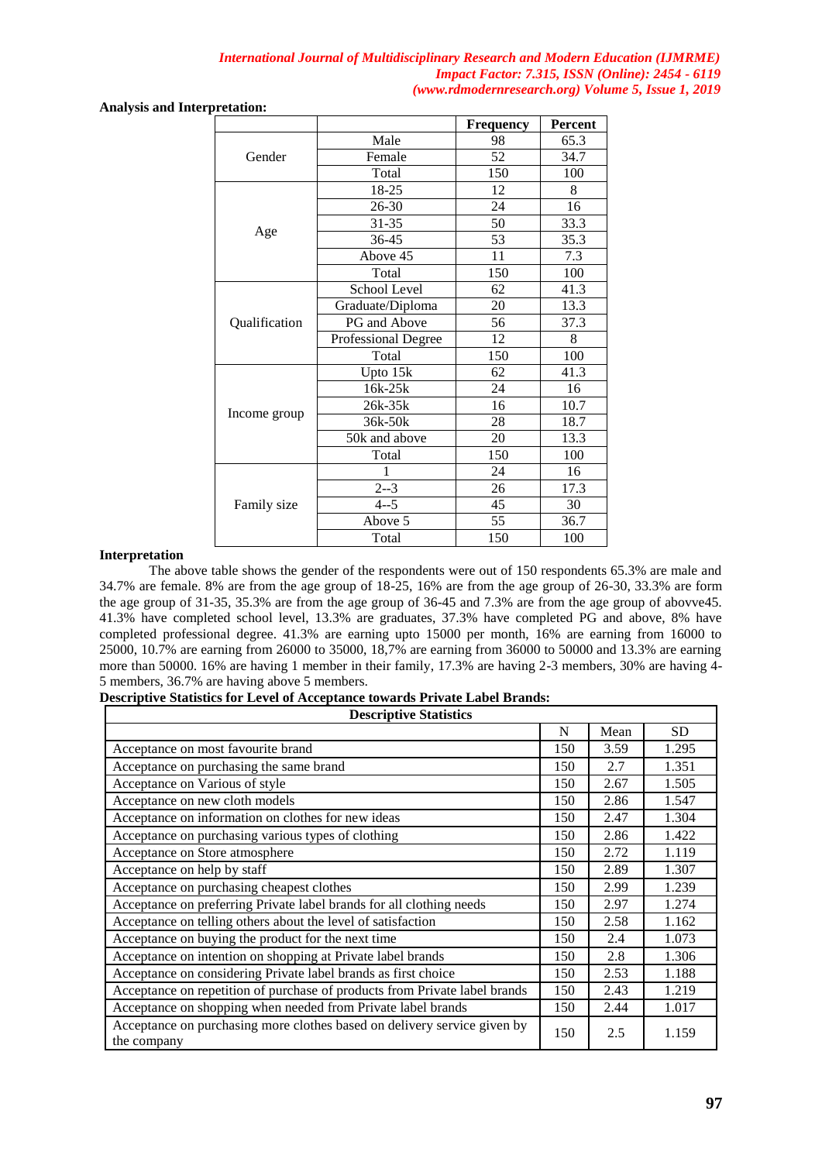**Analysis and Interpretation:** 

|               |                     | <b>Frequency</b> | <b>Percent</b> |
|---------------|---------------------|------------------|----------------|
| Gender        | Male                | 98               | 65.3           |
|               | Female              | 52               | 34.7           |
|               | Total               | 150              | 100            |
| Age           | 18-25               | 12               | 8              |
|               | 26-30               | 24               | 16             |
|               | $31 - 35$           | 50               | 33.3           |
|               | 36-45               | 53               | 35.3           |
|               | Above 45            | 11               | 7.3            |
|               | Total               | 150              | 100            |
|               | School Level        | 62               | 41.3           |
|               | Graduate/Diploma    | 20               | 13.3           |
| Qualification | PG and Above        | 56               | 37.3           |
|               | Professional Degree | 12               | 8              |
|               | Total               | 150              | 100            |
| Income group  | Upto 15k            | 62               | 41.3           |
|               | 16k-25k             | 24               | 16             |
|               | 26k-35k             | 16               | 10.7           |
|               | 36k-50k             | 28               | 18.7           |
|               | 50k and above       | 20               | 13.3           |
|               | Total               | 150              | 100            |
| Family size   | 1                   | 24               | 16             |
|               | $2 - 3$             | 26               | 17.3           |
|               | $4 - 5$             | 45               | 30             |
|               | Above 5             | 55               | 36.7           |
|               | Total               | 150              | 100            |

#### **Interpretation**

The above table shows the gender of the respondents were out of 150 respondents 65.3% are male and 34.7% are female. 8% are from the age group of 18-25, 16% are from the age group of 26-30, 33.3% are form the age group of 31-35, 35.3% are from the age group of 36-45 and 7.3% are from the age group of abovve45. 41.3% have completed school level, 13.3% are graduates, 37.3% have completed PG and above, 8% have completed professional degree. 41.3% are earning upto 15000 per month, 16% are earning from 16000 to 25000, 10.7% are earning from 26000 to 35000, 18,7% are earning from 36000 to 50000 and 13.3% are earning more than 50000. 16% are having 1 member in their family, 17.3% are having 2-3 members, 30% are having 4- 5 members, 36.7% are having above 5 members. **Descriptive Statistics for Level of Acceptance towards Private Label Brands:**

| <b>Descriptive Statistics</b>                                                           |     |      |       |  |  |  |  |
|-----------------------------------------------------------------------------------------|-----|------|-------|--|--|--|--|
|                                                                                         | N   | Mean | SD.   |  |  |  |  |
| Acceptance on most favourite brand                                                      | 150 | 3.59 | 1.295 |  |  |  |  |
| Acceptance on purchasing the same brand                                                 |     | 2.7  | 1.351 |  |  |  |  |
| Acceptance on Various of style                                                          |     | 2.67 | 1.505 |  |  |  |  |
| Acceptance on new cloth models                                                          |     | 2.86 | 1.547 |  |  |  |  |
| Acceptance on information on clothes for new ideas                                      |     | 2.47 | 1.304 |  |  |  |  |
| Acceptance on purchasing various types of clothing                                      | 150 | 2.86 | 1.422 |  |  |  |  |
| Acceptance on Store atmosphere                                                          | 150 | 2.72 | 1.119 |  |  |  |  |
| Acceptance on help by staff                                                             | 150 | 2.89 | 1.307 |  |  |  |  |
| Acceptance on purchasing cheapest clothes                                               |     | 2.99 | 1.239 |  |  |  |  |
| Acceptance on preferring Private label brands for all clothing needs                    |     | 2.97 | 1.274 |  |  |  |  |
| Acceptance on telling others about the level of satisfaction                            |     | 2.58 | 1.162 |  |  |  |  |
| Acceptance on buying the product for the next time                                      |     | 2.4  | 1.073 |  |  |  |  |
| Acceptance on intention on shopping at Private label brands                             |     | 2.8  | 1.306 |  |  |  |  |
| Acceptance on considering Private label brands as first choice                          |     | 2.53 | 1.188 |  |  |  |  |
| Acceptance on repetition of purchase of products from Private label brands              |     | 2.43 | 1.219 |  |  |  |  |
| Acceptance on shopping when needed from Private label brands                            |     | 2.44 | 1.017 |  |  |  |  |
| Acceptance on purchasing more clothes based on delivery service given by<br>the company |     | 2.5  | 1.159 |  |  |  |  |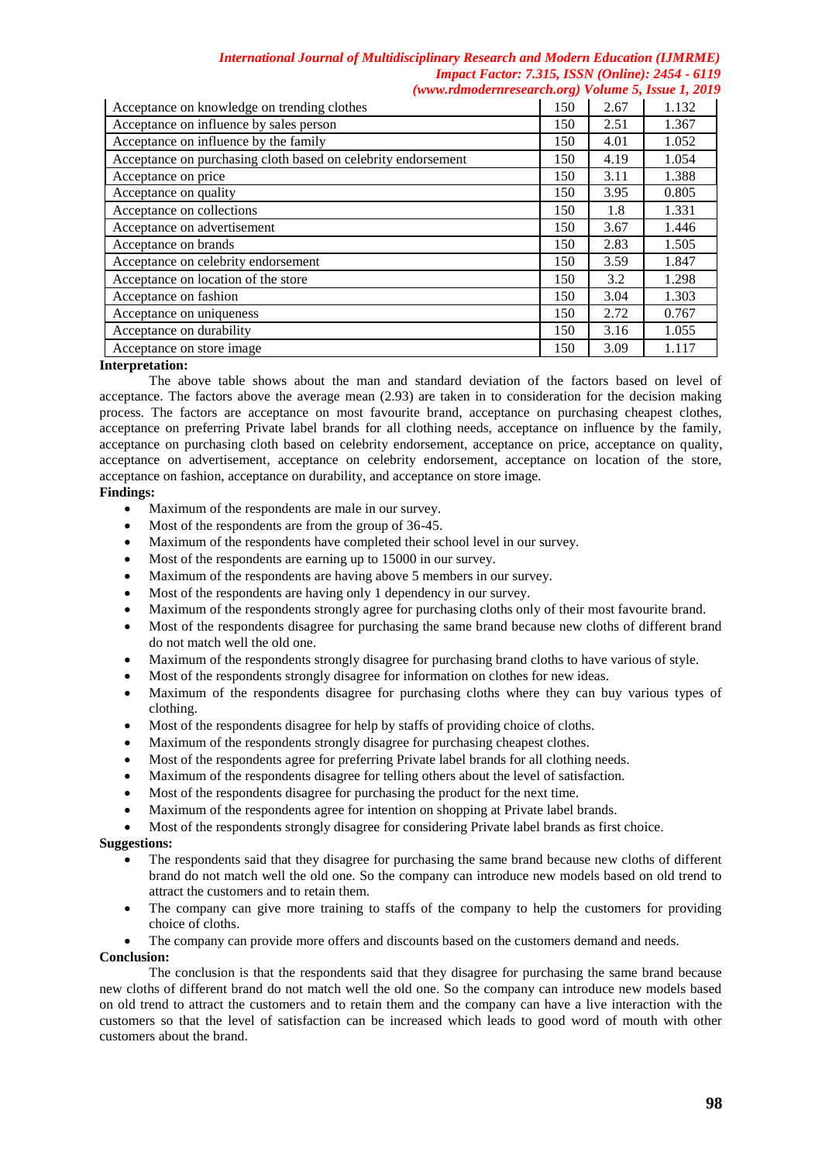| Acceptance on knowledge on trending clothes                   |     | 2.67 | 1.132 |
|---------------------------------------------------------------|-----|------|-------|
| Acceptance on influence by sales person                       |     | 2.51 | 1.367 |
| Acceptance on influence by the family                         |     | 4.01 | 1.052 |
| Acceptance on purchasing cloth based on celebrity endorsement |     | 4.19 | 1.054 |
| Acceptance on price                                           | 150 | 3.11 | 1.388 |
| Acceptance on quality                                         | 150 | 3.95 | 0.805 |
| Acceptance on collections                                     | 150 | 1.8  | 1.331 |
| Acceptance on advertisement                                   | 150 | 3.67 | 1.446 |
| Acceptance on brands                                          |     | 2.83 | 1.505 |
| Acceptance on celebrity endorsement                           |     | 3.59 | 1.847 |
| Acceptance on location of the store                           |     | 3.2  | 1.298 |
| Acceptance on fashion                                         |     | 3.04 | 1.303 |
| Acceptance on uniqueness                                      |     | 2.72 | 0.767 |
| Acceptance on durability                                      |     | 3.16 | 1.055 |
| Acceptance on store image.                                    | 150 | 3.09 | 1.117 |

#### **Interpretation:**

The above table shows about the man and standard deviation of the factors based on level of acceptance. The factors above the average mean (2.93) are taken in to consideration for the decision making process. The factors are acceptance on most favourite brand, acceptance on purchasing cheapest clothes, acceptance on preferring Private label brands for all clothing needs, acceptance on influence by the family, acceptance on purchasing cloth based on celebrity endorsement, acceptance on price, acceptance on quality, acceptance on advertisement, acceptance on celebrity endorsement, acceptance on location of the store, acceptance on fashion, acceptance on durability, and acceptance on store image.

### **Findings:**

- Maximum of the respondents are male in our survey.
- Most of the respondents are from the group of 36-45.
- Maximum of the respondents have completed their school level in our survey.
- Most of the respondents are earning up to 15000 in our survey.
- Maximum of the respondents are having above 5 members in our survey.
- Most of the respondents are having only 1 dependency in our survey.
- Maximum of the respondents strongly agree for purchasing cloths only of their most favourite brand.
- Most of the respondents disagree for purchasing the same brand because new cloths of different brand do not match well the old one.
- Maximum of the respondents strongly disagree for purchasing brand cloths to have various of style.
- Most of the respondents strongly disagree for information on clothes for new ideas.
- Maximum of the respondents disagree for purchasing cloths where they can buy various types of clothing.
- Most of the respondents disagree for help by staffs of providing choice of cloths.
- Maximum of the respondents strongly disagree for purchasing cheapest clothes.
- Most of the respondents agree for preferring Private label brands for all clothing needs.
- Maximum of the respondents disagree for telling others about the level of satisfaction.
- Most of the respondents disagree for purchasing the product for the next time.
- Maximum of the respondents agree for intention on shopping at Private label brands.
- Most of the respondents strongly disagree for considering Private label brands as first choice.

#### **Suggestions:**

- The respondents said that they disagree for purchasing the same brand because new cloths of different brand do not match well the old one. So the company can introduce new models based on old trend to attract the customers and to retain them.
- The company can give more training to staffs of the company to help the customers for providing choice of cloths.
- The company can provide more offers and discounts based on the customers demand and needs.

#### **Conclusion:**

The conclusion is that the respondents said that they disagree for purchasing the same brand because new cloths of different brand do not match well the old one. So the company can introduce new models based on old trend to attract the customers and to retain them and the company can have a live interaction with the customers so that the level of satisfaction can be increased which leads to good word of mouth with other customers about the brand.